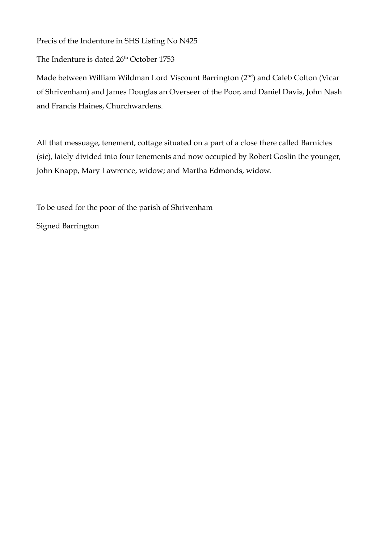Precis of the Indenture in SHS Listing No N425

The Indenture is dated 26<sup>th</sup> October 1753

Made between William Wildman Lord Viscount Barrington (2<sup>nd</sup>) and Caleb Colton (Vicar of Shrivenham) and James Douglas an Overseer of the Poor, and Daniel Davis, John Nash and Francis Haines, Churchwardens.

All that messuage, tenement, cottage situated on a part of a close there called Barnicles (sic), lately divided into four tenements and now occupied by Robert Goslin the younger, John Knapp, Mary Lawrence, widow; and Martha Edmonds, widow.

To be used for the poor of the parish of Shrivenham

Signed Barrington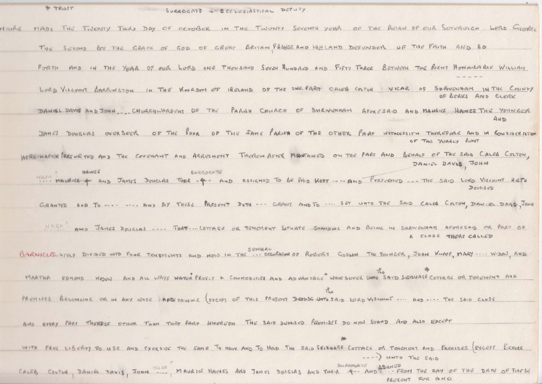| M. LKM21<br>SURROGATE E ECCLESIASTICAL DEPUTY.                                                                                                                 |
|----------------------------------------------------------------------------------------------------------------------------------------------------------------|
| MADE THE TWENTY THIRD DAY OF OCTOBER IN THE TWENTY SEVENTH YEAR OF THE REIGN OF OUR SUVERSIGN LORD GEORGE<br>NTURE                                             |
| THE SECOND BY THE GRACE OF GOD OF GREAT BRITAIN FRANCE AND HELAND DEFENDER OF THE FAITH AND SO                                                                 |
| FORTH AND IN THE YEAR OF OUR LURD ONE THOUSAND SOVEN HUNDRED AND FIFTY THREE BETWEEN THE RENT HONOURASLE WILLIAM                                               |
| LORD VISCOUNT BARRINGTON IN THE KINGDOM OF IRELAND OF THE ONE PART CALEB COLTON VICAR OF SHRIVENIAAM IN THE COUNTY<br>OF BERKS AND CLEAK                       |
| DANIEL DAVIS AND JOHN. CHURCHWARDUNS OF THE PARSH CHURCH OF SHRIVENHAM AFORESAID AND MAURICE HAMES THE YOUNGER<br>AND                                          |
| JAMES DUNGLAS OVERSEER OF THE POOR OF THE SAME PARIS OF THE OTHER PART WITNESSITH THEREFORE AND IN CONSIDERATION<br>OF THE YEARLY RENT                         |
| HERE MAFTER PRESCRIPED AND THE COVENANT AND AGREEMENT THEREIN AFTER MANTAINED ON THE PART AND BEHALF OF THE SAID CALES COLTON,<br>DANIEL DAVIS, JOHN           |
| HAINES<br>SURROGATE<br>MAIN MAURICE + AND JAMES DOUGLAS THER - 4 - AND ASSIGNED TO BE PAID KEPT ---- AND PERFURENCE --- THE SAID LOKO VISCOUNT HATH<br>Dentisp |
| GRANTED AND TO   AND BY THUSE PRESUNT DOTH --- GRANT AND TO  SET LINTO THE SAID CALES COLTEM, DANIEL DAYS, JUN                                                 |
| MASH AND JANES DOLGLAS  THAT COTTAGE OR TENCHENT SITUATE STANDING AND BEING IN SHEWENHAM AFORESAID OR PART OF<br>A CLOSE THERE CALLED                          |
| SEVERAL<br>BARNICLES AFRY DIVIDUD INTO FOUR TENEMENTS AND NOW IN THE  OCCURATION OF ROBERT GOSLIN THE YOUNGER, JOHN KNAPP, MARY  WIDOW, AND                    |
| MARTHA UDINON MOON AND ALL WAYS WATCH PROFIT + COMMODITIES AND ADVANTAGE WHO SOVER UNTO SAID SEIZUAGE COTTAGE OR TENEMENT AND                                  |
| PARTISES BELOMEING OR IN ANY WISE PAPER TAINING (EXCEPT OF THIS PASSENT DEDISE UNTO SAID LORD VISCOUNT  AND  THE SAID CLOSE                                    |
| AND EVERY PART THERBOF OTHER THAN THAT PART WHEREON THE SAID DEMISED PREMISES DO NOW STAND AND ALSO EXCEPT                                                     |
| *                                                                                                                                                              |

WITH FREE LIGERTY TO USE AMD EXERSIZE THE SAME TO HAVE AND TO HOD THE SAID SEIZUASE COTTACE OR TENEMENT AND PREDISES EXCEPT BEFORE ....) UNTO THE SAID

CALEB COLTON, DANIEL DAVIS, JOHN MASH? MAURICE HAINES AND JAMES DOUGLAS AND THEIR 4-- AND ASIGNED PRETENT FOR AND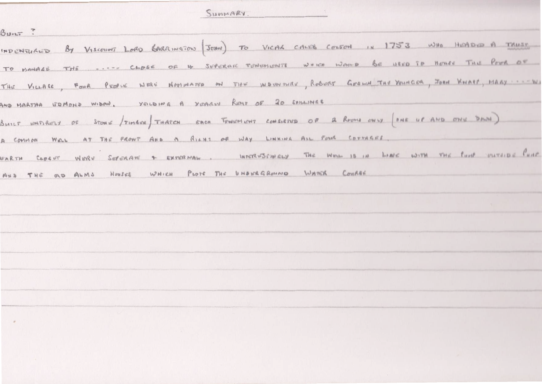SUMMARY.

 $B$ unt ?

INDENTURED By VISCOUNT LORD GARRINGTON JOIN TO VICAL CALES COUSON IN 1753 WHO HEADLED A TRUST TO MANAGE THE .... CLOSE OF 4 SEPERATE TENEMENTS WHICH WOMED BE USED TO HOUSE THE POOR OF THE VILLAGE, FOUR PEOPLE WERE NOTINATED ON THE INDUTINGE, ROBERT GESWITHS YOUNCER, JOHN KNAPP, MARY ... WI AND MARTHA UDMOND WIDOW, YOLDING A YEARLY REAT OF 20 SEILINGS BUILT WATERENT OF STONE THATCH FORCH FORM TOWERS CONSISTED OF A ROOMS ONLY ONE OF AND ONE DANN A COMMON WELL AT THE FRONT AND A RIGHT OF WAY LINKING ALL FULK COTTAGES. FARTH CODENT WERE SEPERATE + EXTERNAL INTERVISIONALLY THE WELL IS IN LINE WITH THE PUITE VITTIDE PUITE AND THE OLD ALMS HONSES WHICH PLOTE THE UNDERGRUND WATER COMPRE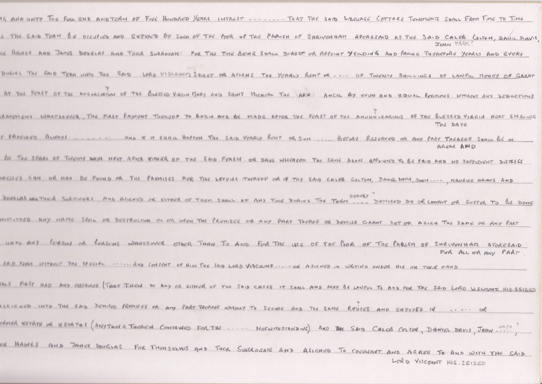| IS AND HOUTE THE FULL END AND TERM OF FIVE HUNDRED YEARS INTRUST  THAT THE SAID SIZEVAGE COTTAGE TENEMENTS SHALL FROM TIME TO TIME                  |
|-----------------------------------------------------------------------------------------------------------------------------------------------------|
| G THE SAID TURM BE OCCULION AND ENTINO BY SHOW OF THE POOR OF THE PARISH OF SHRIVENHAM AFORESAID AS THE SAID CALES COLTON, DANIL DAVIS<br>JOHN MASH |
| CE HALHER AND JAMES DOURLAS AND THER SURROGATE FOR THE TIME GENER SHALL DIRECT OR APPOINT YELLOWE AND PAVING THEREFORE YEARLY AND EVERY             |
|                                                                                                                                                     |
| BURING THE SAID TERM LINTO THE SAID LORD VISCOUNTS SOLET OR ASSENS THE YEARLY RENT OR  OF TWENTY SHILLINGS OF LANFILL MONEY OF GREAT                |
| AT THE FIRET OF THE ANNINCIATION OF THE BLESSED VIRGIN MARY AND SAINT MICHICAL THE LARX ANCEL BY EVEN AND EQUAL PERMONS WITHOUT ANY DEDUCTIONS      |
| BATCHENT WHATSOCKE, THE FRET PATIONT THOUGH TO BEGIN AND BE MADE AFTOR THE FORST OF THE ANUNHIRARIOUS OF THE BLESSED VIRGIN NEXT SMSUNG<br>THE DATE |
| I PREVIEVO ALWAYE  AND IF IT SHALL HAPPEN THE SAID YORRY RENT OR SHA  BEFACE RESERVED OR ANY PART TAKARDE SHALL BE IN<br>AREAR AND                  |
| Of THE SPARE OF TWENTY WAYS HEXT AFTER WITHER OF THE SAID FEASTE OR DAYS WHEREON THE SAME ABOVE APPOINTED TO BE PAID AND NO SUFFICIENT DISTRESS     |
| MESSES CAN OR MAY BE FOUND OR THE PROMISES FOR THE LOVYING THEREOF OR IF THE SAID CALVS COLTON, DAMEL DAVIS, JOHN  MAURICE HAINES AND               |
| DINALAL AND THOSE AND ALLENCO OR EITHER OF THEM SHALL AT ANY TIME DIRING THE TEAM HERESY DE OR COMPAT OR SUFFER TO BE DONE                          |
| MANISTRED ANY WATE SPAN OR DESTRUCTION IN OR WPON THE PREMISES OR ANY PART THEROF OR DEMISE CAANT SET OR ASIGN THE SAME OR ANY PART                 |
| UNTO ANY GERSON OR PORSCHES WHATSOVER OTHER THAN TO AND FOR THE LISE OF THE GOR OF THE PABLISH OF SHRIVENHATL AFORESAID<br>For ALL OR ANY PART.     |
| SAID TEAM WITHOUT THE SPECIAL ------ AND CONJUNT OF HIM THE SAID LORD VISCOUNT  OR ASIGNED IN WRITING HINDOR HIS OR THEIR HAND                      |
| THE FIRST HAD AND OBTAINED THAT THEM. IN ANY OR EITHING OF THE SAID CASES IT SHALL AND MAY BE LANFUL TO AND FOR THE SAID LORD VISCOUNT HIS SEIZED   |
| ESIENED INTO THE SAID DUMISED PREMISEE OR ANY PART THOROGE WHOLLY TO SCOURS AND THE SAME REUSES AND ENJOYED IN  OR                                  |
| THER ESTATE OR ESTATES (ANYTHING THORICH CONTAMED FOR THE  NOTWITHSTANDING) AND THE SAID CALOR COLTON, DANIEL DAVIS, JOHN.                          |
| OF HAINES AND JANCE DOUGLAS FOR THOUSINGS AND THOR SURROGATE AND ASIGNED TO COVENANT AND AGREE TO AND WITH THE SAID<br>LORD VISCOUNT HIS. SEIZED    |